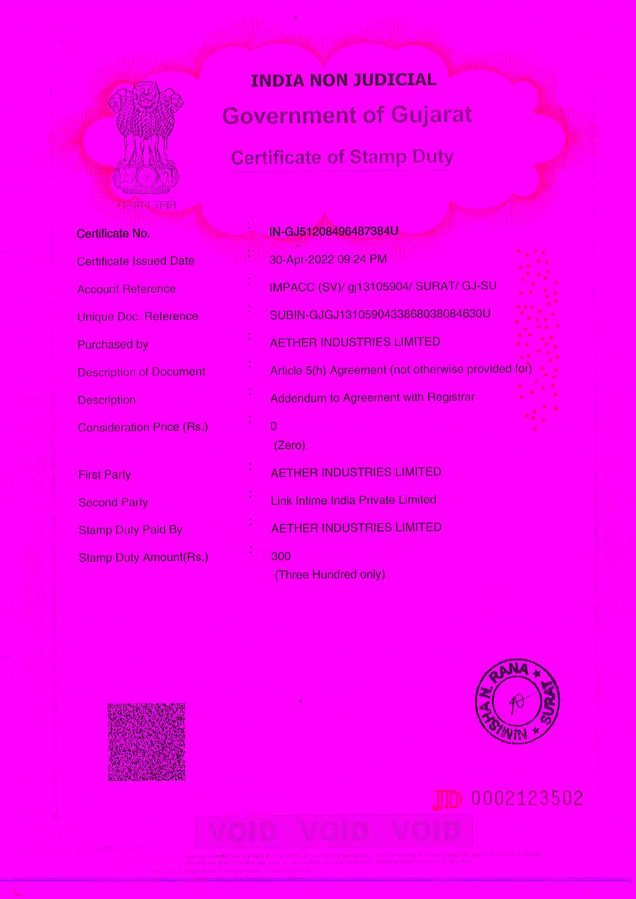# **INDIA NON JUDICIAL**

**Government of Gujarat** 

# **Certificate of Stamp Duty**

| Certificate No. |  |
|-----------------|--|
|                 |  |

**Certificate Issued Date** 

**Account Reference** 

Unique Doc. Reference

Purchased by

**Description of Document** 

Description

**Consideration Price (Rs.)** 

**First Party Second Party Stamp Duty Paid By** 

**Stamp Duty Amount(Rs.)** 

# IN-GJ51208496487384U

30-Apr-2022 09:24 PM

IMPACC (SV)/ gj13105904/ SURAT/ GJ-SU

SUBIN-GJGJ1310590433868038084630U

**AETHER INDUSTRIES LIMITED** 

Article 5(h) Agreement (not otherwise provided for

Addendum to Agreement with Registrar

 $\overline{0}$ 

(Zero)

**AETHER INDUSTRIES LIMITED** 

**Link Intime India Private Limited** 

**AETHER INDUSTRIES LIMITED** 

300

(Three Hundred only)







JID 0002123502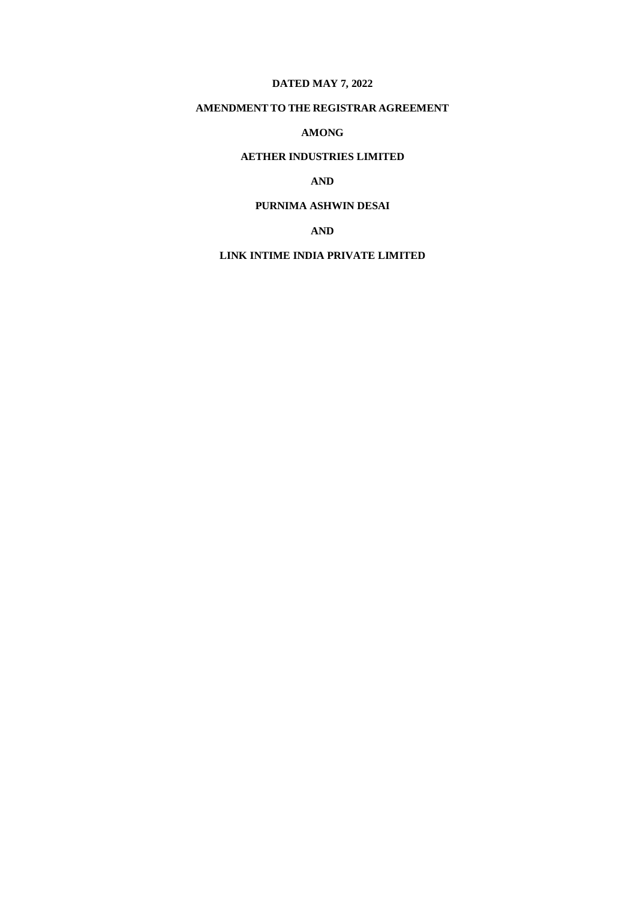# **DATED MAY 7, 2022**

# **AMENDMENT TO THE REGISTRAR AGREEMENT**

### **AMONG**

# **AETHER INDUSTRIES LIMITED**

# **AND**

# **PURNIMA ASHWIN DESAI**

## **AND**

## **LINK INTIME INDIA PRIVATE LIMITED**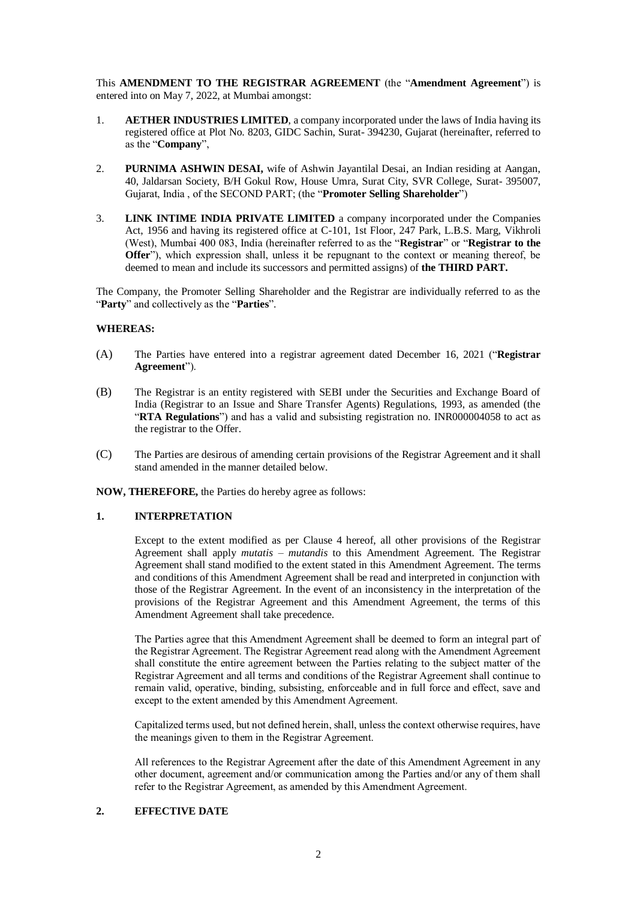This **AMENDMENT TO THE REGISTRAR AGREEMENT** (the "**Amendment Agreement**") is entered into on May 7, 2022, at Mumbai amongst:

- 1. **AETHER INDUSTRIES LIMITED**, a company incorporated under the laws of India having its registered office at Plot No. 8203, GIDC Sachin, Surat- 394230, Gujarat (hereinafter, referred to as the "**Company**",
- 2. **PURNIMA ASHWIN DESAI,** wife of Ashwin Jayantilal Desai, an Indian residing at Aangan, 40, Jaldarsan Society, B/H Gokul Row, House Umra, Surat City, SVR College, Surat- 395007, Gujarat, India , of the SECOND PART; (the "**Promoter Selling Shareholder**")
- 3. **LINK INTIME INDIA PRIVATE LIMITED** a company incorporated under the Companies Act, 1956 and having its registered office at C-101, 1st Floor, 247 Park, L.B.S. Marg, Vikhroli (West), Mumbai 400 083, India (hereinafter referred to as the "**Registrar**" or "**Registrar to the Offer**"), which expression shall, unless it be repugnant to the context or meaning thereof, be deemed to mean and include its successors and permitted assigns) of **the THIRD PART.**

The Company, the Promoter Selling Shareholder and the Registrar are individually referred to as the "**Party**" and collectively as the "**Parties**".

#### **WHEREAS:**

- (A) The Parties have entered into a registrar agreement dated December 16, 2021 ("**Registrar Agreement**").
- (B) The Registrar is an entity registered with SEBI under the Securities and Exchange Board of India (Registrar to an Issue and Share Transfer Agents) Regulations, 1993, as amended (the "**RTA Regulations**") and has a valid and subsisting registration no. INR000004058 to act as the registrar to the Offer.
- (C) The Parties are desirous of amending certain provisions of the Registrar Agreement and it shall stand amended in the manner detailed below.

**NOW, THEREFORE,** the Parties do hereby agree as follows:

#### **1. INTERPRETATION**

Except to the extent modified as per Clause 4 hereof, all other provisions of the Registrar Agreement shall apply *mutatis – mutandis* to this Amendment Agreement. The Registrar Agreement shall stand modified to the extent stated in this Amendment Agreement. The terms and conditions of this Amendment Agreement shall be read and interpreted in conjunction with those of the Registrar Agreement. In the event of an inconsistency in the interpretation of the provisions of the Registrar Agreement and this Amendment Agreement, the terms of this Amendment Agreement shall take precedence.

The Parties agree that this Amendment Agreement shall be deemed to form an integral part of the Registrar Agreement. The Registrar Agreement read along with the Amendment Agreement shall constitute the entire agreement between the Parties relating to the subject matter of the Registrar Agreement and all terms and conditions of the Registrar Agreement shall continue to remain valid, operative, binding, subsisting, enforceable and in full force and effect, save and except to the extent amended by this Amendment Agreement.

Capitalized terms used, but not defined herein, shall, unless the context otherwise requires, have the meanings given to them in the Registrar Agreement.

All references to the Registrar Agreement after the date of this Amendment Agreement in any other document, agreement and/or communication among the Parties and/or any of them shall refer to the Registrar Agreement, as amended by this Amendment Agreement.

#### **2. EFFECTIVE DATE**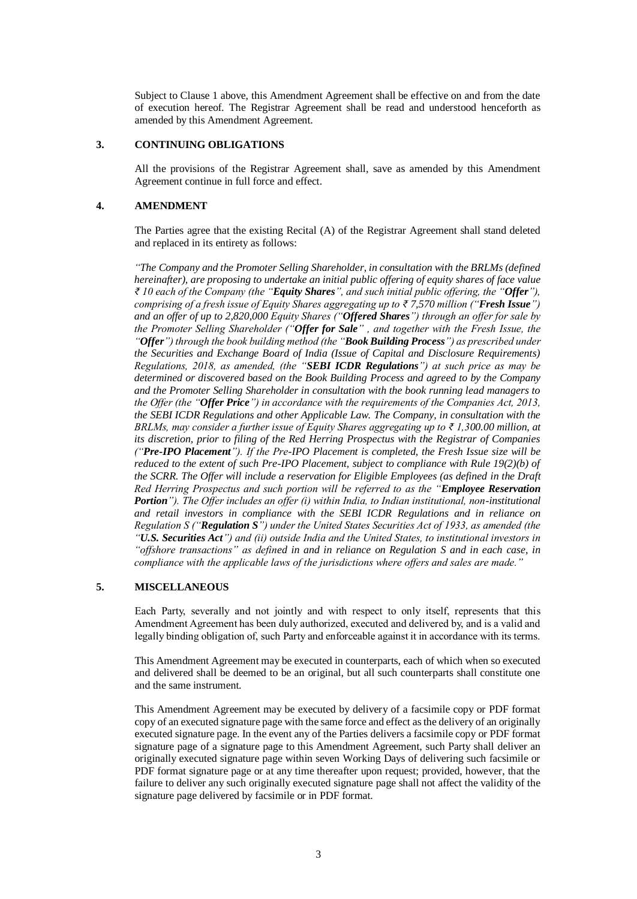Subject to Clause 1 above, this Amendment Agreement shall be effective on and from the date of execution hereof. The Registrar Agreement shall be read and understood henceforth as amended by this Amendment Agreement.

#### **3. CONTINUING OBLIGATIONS**

All the provisions of the Registrar Agreement shall, save as amended by this Amendment Agreement continue in full force and effect.

#### **4. AMENDMENT**

The Parties agree that the existing Recital (A) of the Registrar Agreement shall stand deleted and replaced in its entirety as follows:

*"The Company and the Promoter Selling Shareholder, in consultation with the BRLMs (defined hereinafter), are proposing to undertake an initial public offering of equity shares of face value ₹ 10 each of the Company (the "Equity Shares", and such initial public offering, the "Offer"), comprising of a fresh issue of Equity Shares aggregating up to ₹ 7,570 million ("Fresh Issue") and an offer of up to 2,820,000 Equity Shares ("Offered Shares") through an offer for sale by the Promoter Selling Shareholder ("Offer for Sale" , and together with the Fresh Issue, the "Offer") through the book building method (the "Book Building Process") as prescribed under the Securities and Exchange Board of India (Issue of Capital and Disclosure Requirements) Regulations, 2018, as amended, (the "SEBI ICDR Regulations") at such price as may be determined or discovered based on the Book Building Process and agreed to by the Company and the Promoter Selling Shareholder in consultation with the book running lead managers to the Offer (the "Offer Price") in accordance with the requirements of the Companies Act, 2013, the SEBI ICDR Regulations and other Applicable Law. The Company, in consultation with the BRLMs, may consider a further issue of Equity Shares aggregating up to ₹ 1,300.00 million, at its discretion, prior to filing of the Red Herring Prospectus with the Registrar of Companies ("Pre-IPO Placement"). If the Pre-IPO Placement is completed, the Fresh Issue size will be reduced to the extent of such Pre-IPO Placement, subject to compliance with Rule 19(2)(b) of the SCRR. The Offer will include a reservation for Eligible Employees (as defined in the Draft Red Herring Prospectus and such portion will be referred to as the "Employee Reservation Portion"). The Offer includes an offer (i) within India, to Indian institutional, non-institutional and retail investors in compliance with the SEBI ICDR Regulations and in reliance on Regulation S ("Regulation S") under the United States Securities Act of 1933, as amended (the "U.S. Securities Act") and (ii) outside India and the United States, to institutional investors in "offshore transactions" as defined in and in reliance on Regulation S and in each case, in compliance with the applicable laws of the jurisdictions where offers and sales are made."*

#### **5. MISCELLANEOUS**

Each Party, severally and not jointly and with respect to only itself, represents that this Amendment Agreement has been duly authorized, executed and delivered by, and is a valid and legally binding obligation of, such Party and enforceable against it in accordance with its terms.

This Amendment Agreement may be executed in counterparts, each of which when so executed and delivered shall be deemed to be an original, but all such counterparts shall constitute one and the same instrument.

This Amendment Agreement may be executed by delivery of a facsimile copy or PDF format copy of an executed signature page with the same force and effect as the delivery of an originally executed signature page. In the event any of the Parties delivers a facsimile copy or PDF format signature page of a signature page to this Amendment Agreement, such Party shall deliver an originally executed signature page within seven Working Days of delivering such facsimile or PDF format signature page or at any time thereafter upon request; provided, however, that the failure to deliver any such originally executed signature page shall not affect the validity of the signature page delivered by facsimile or in PDF format.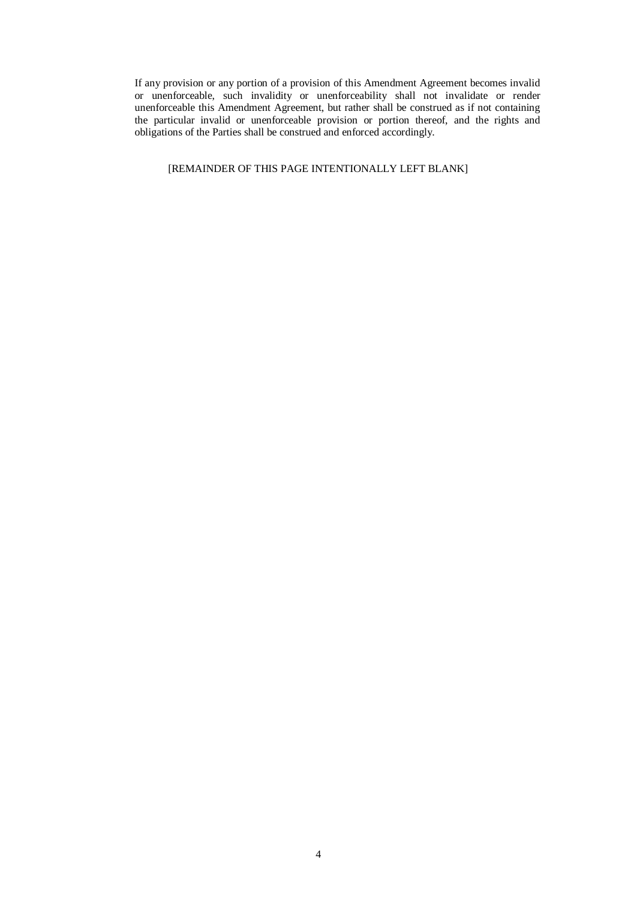If any provision or any portion of a provision of this Amendment Agreement becomes invalid or unenforceable, such invalidity or unenforceability shall not invalidate or render unenforceable this Amendment Agreement, but rather shall be construed as if not containing the particular invalid or unenforceable provision or portion thereof, and the rights and obligations of the Parties shall be construed and enforced accordingly.

#### [REMAINDER OF THIS PAGE INTENTIONALLY LEFT BLANK]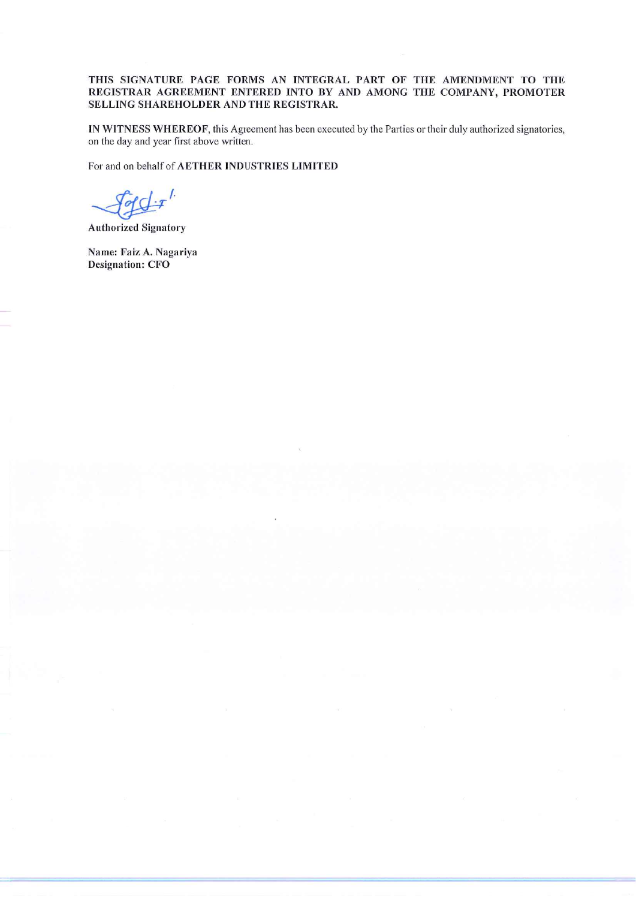#### THIS SIGNATURE PAGE FORMS AN INTEGRAL PART OF THE AMENDMENT TO THE REGISTRAR AGREEMENT ENTERED INTO BY AND AMONG THE COMPANY, PROMOTER SELLING SHAREHOLDER AND THE REGISTRAR.

IN WITNESS WHEREOF, this Agreement has been executed by the Parties or their duly authorized signatories, on the day and year first above written.

For and on behalf of AETHER INDUSTRIES LIMITED

 $q \not\perp r'$ 

**Authorized Signatory** 

Name: Faiz A. Nagariya **Designation: CFO**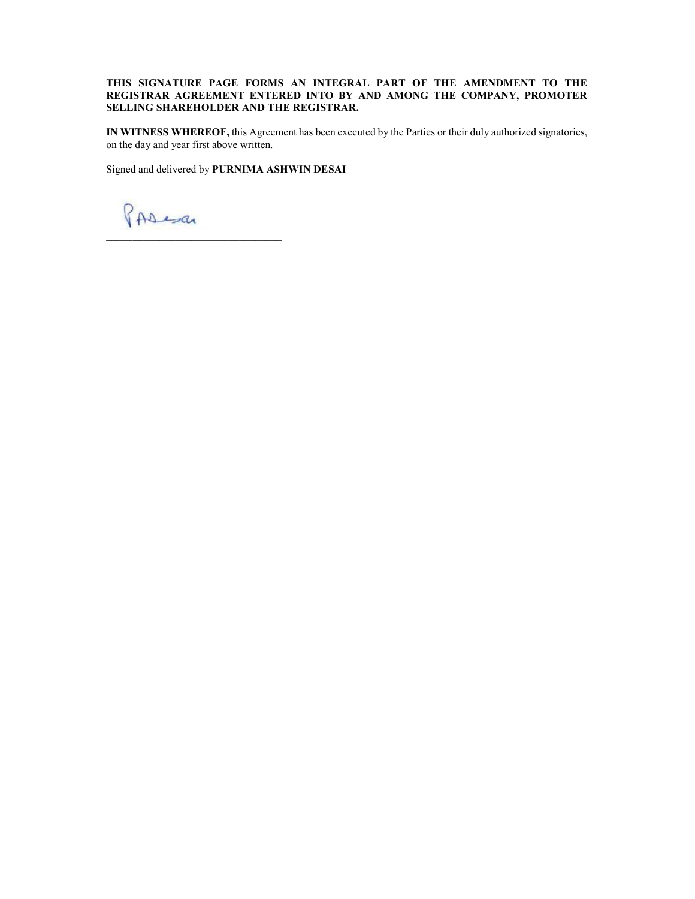#### THIS SIGNATURE PAGE FORMS AN INTEGRAL PART OF THE AMENDMENT TO THE REGISTRAR AGREEMENT ENTERED INTO BY AND AMONG THE COMPANY, PROMOTER SELLING SHAREHOLDER AND THE REGISTRAR.

IN WITNESS WHEREOF, this Agreement has been executed by the Parties or their duly authorized signatories, on the day and year first above written.

Signed and delivered by PURNIMA ASHWIN DESAI

PAResa